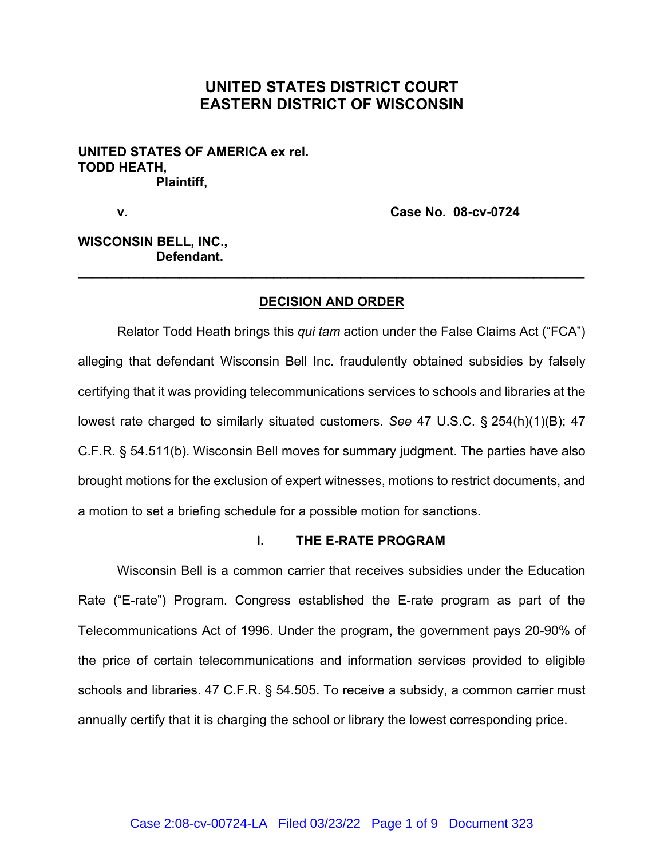# **UNITED STATES DISTRICT COURT EASTERN DISTRICT OF WISCONSIN**

### **UNITED STATES OF AMERICA ex rel. TODD HEATH, Plaintiff,**

**v. Case No. 08-cv-0724**

## **WISCONSIN BELL, INC., Defendant.**

### **DECISION AND ORDER**

\_\_\_\_\_\_\_\_\_\_\_\_\_\_\_\_\_\_\_\_\_\_\_\_\_\_\_\_\_\_\_\_\_\_\_\_\_\_\_\_\_\_\_\_\_\_\_\_\_\_\_\_\_\_\_\_\_\_\_\_\_\_\_\_\_\_\_\_\_\_

Relator Todd Heath brings this *qui tam* action under the False Claims Act ("FCA") alleging that defendant Wisconsin Bell Inc. fraudulently obtained subsidies by falsely certifying that it was providing telecommunications services to schools and libraries at the lowest rate charged to similarly situated customers. *See* 47 U.S.C. § 254(h)(1)(B); 47 C.F.R. § 54.511(b). Wisconsin Bell moves for summary judgment. The parties have also brought motions for the exclusion of expert witnesses, motions to restrict documents, and a motion to set a briefing schedule for a possible motion for sanctions.

#### **I. THE E-RATE PROGRAM**

Wisconsin Bell is a common carrier that receives subsidies under the Education Rate ("E-rate") Program. Congress established the E-rate program as part of the Telecommunications Act of 1996. Under the program, the government pays 20-90% of the price of certain telecommunications and information services provided to eligible schools and libraries. 47 C.F.R. § 54.505. To receive a subsidy, a common carrier must annually certify that it is charging the school or library the lowest corresponding price.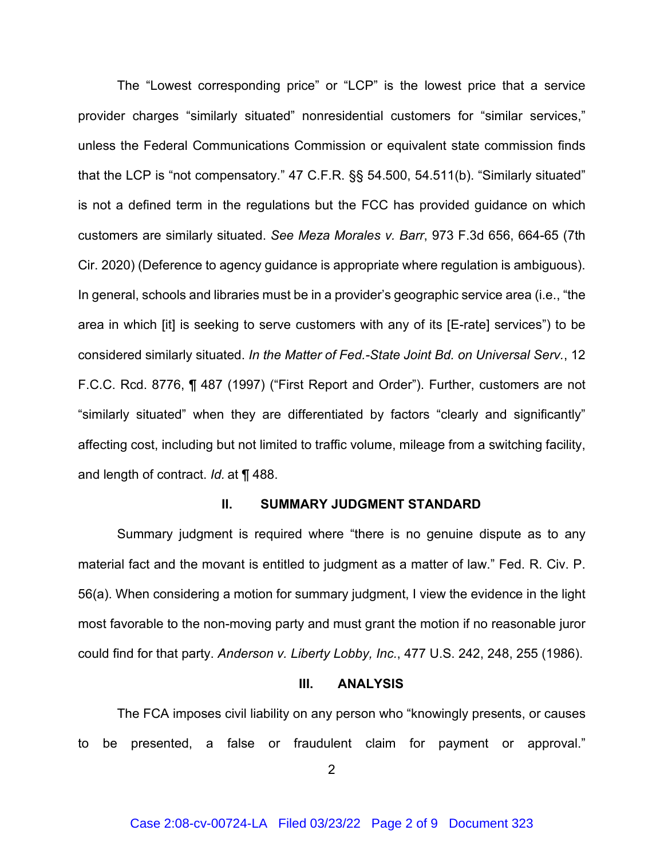The "Lowest corresponding price" or "LCP" is the lowest price that a service provider charges "similarly situated" nonresidential customers for "similar services," unless the Federal Communications Commission or equivalent state commission finds that the LCP is "not compensatory." 47 C.F.R. §§ 54.500, 54.511(b). "Similarly situated" is not a defined term in the regulations but the FCC has provided guidance on which customers are similarly situated. *See Meza Morales v. Barr*, 973 F.3d 656, 664-65 (7th Cir. 2020) (Deference to agency guidance is appropriate where regulation is ambiguous). In general, schools and libraries must be in a provider's geographic service area (i.e., "the area in which [it] is seeking to serve customers with any of its [E-rate] services") to be considered similarly situated. *In the Matter of Fed.-State Joint Bd. on Universal Serv.*, 12 F.C.C. Rcd. 8776, ¶ 487 (1997) ("First Report and Order"). Further, customers are not "similarly situated" when they are differentiated by factors "clearly and significantly" affecting cost, including but not limited to traffic volume, mileage from a switching facility, and length of contract. *Id.* at ¶ 488.

### **II. SUMMARY JUDGMENT STANDARD**

Summary judgment is required where "there is no genuine dispute as to any material fact and the movant is entitled to judgment as a matter of law." Fed. R. Civ. P. 56(a). When considering a motion for summary judgment, I view the evidence in the light most favorable to the non-moving party and must grant the motion if no reasonable juror could find for that party. *Anderson v. Liberty Lobby, Inc.*, 477 U.S. 242, 248, 255 (1986).

### **III. ANALYSIS**

The FCA imposes civil liability on any person who "knowingly presents, or causes to be presented, a false or fraudulent claim for payment or approval."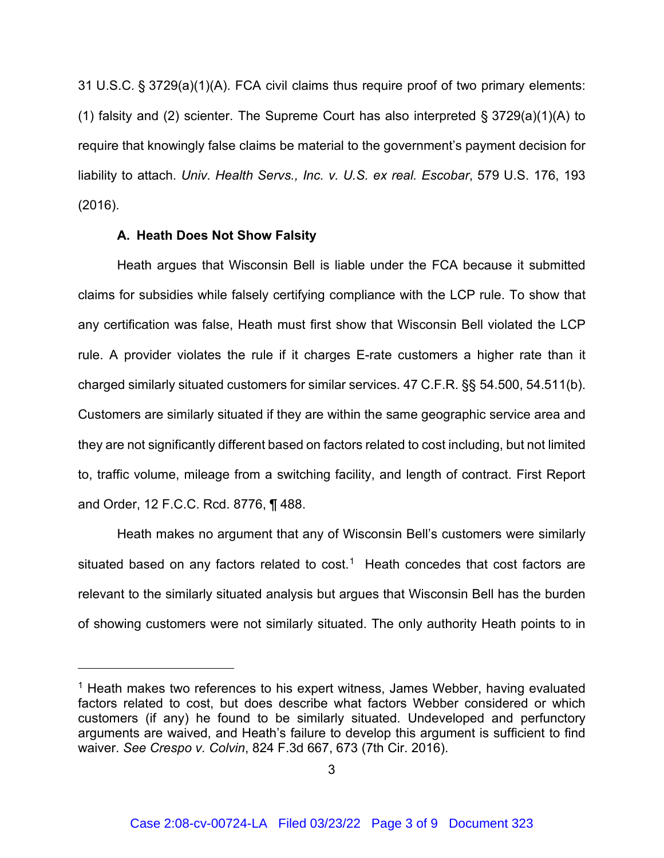31 U.S.C. § 3729(a)(1)(A). FCA civil claims thus require proof of two primary elements: (1) falsity and (2) scienter. The Supreme Court has also interpreted § 3729(a)(1)(A) to require that knowingly false claims be material to the government's payment decision for liability to attach. *Univ. Health Servs., Inc. v. U.S. ex real. Escobar*, 579 U.S. 176, 193 (2016).

### **A. Heath Does Not Show Falsity**

Heath argues that Wisconsin Bell is liable under the FCA because it submitted claims for subsidies while falsely certifying compliance with the LCP rule. To show that any certification was false, Heath must first show that Wisconsin Bell violated the LCP rule. A provider violates the rule if it charges E-rate customers a higher rate than it charged similarly situated customers for similar services. 47 C.F.R. §§ 54.500, 54.511(b). Customers are similarly situated if they are within the same geographic service area and they are not significantly different based on factors related to cost including, but not limited to, traffic volume, mileage from a switching facility, and length of contract. First Report and Order, 12 F.C.C. Rcd. 8776, ¶ 488.

Heath makes no argument that any of Wisconsin Bell's customers were similarly situated based on any factors related to cost.<sup>[1](#page-2-0)</sup> Heath concedes that cost factors are relevant to the similarly situated analysis but argues that Wisconsin Bell has the burden of showing customers were not similarly situated. The only authority Heath points to in

<span id="page-2-0"></span><sup>&</sup>lt;sup>1</sup> Heath makes two references to his expert witness, James Webber, having evaluated factors related to cost, but does describe what factors Webber considered or which customers (if any) he found to be similarly situated. Undeveloped and perfunctory arguments are waived, and Heath's failure to develop this argument is sufficient to find waiver. *See Crespo v. Colvin*, 824 F.3d 667, 673 (7th Cir. 2016).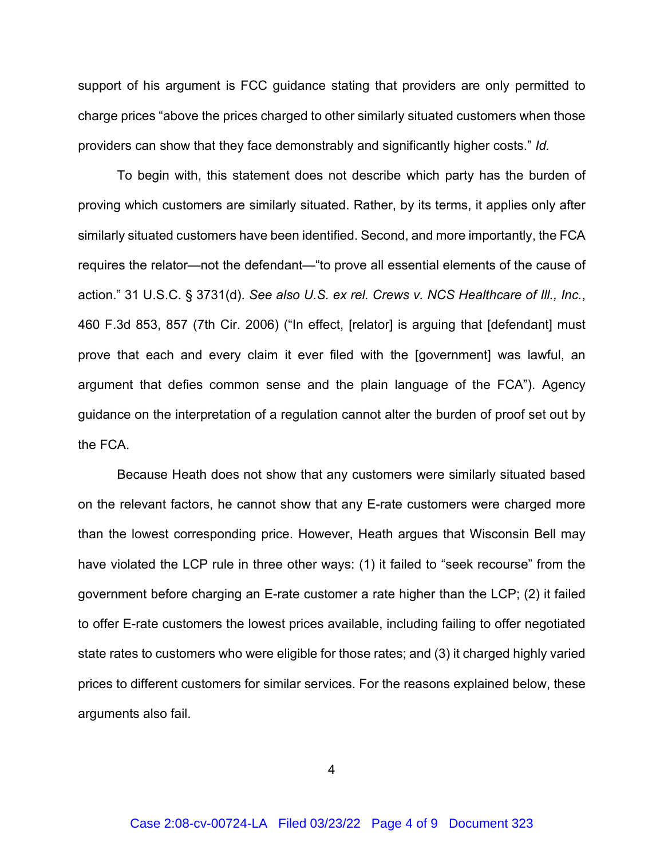support of his argument is FCC guidance stating that providers are only permitted to charge prices "above the prices charged to other similarly situated customers when those providers can show that they face demonstrably and significantly higher costs." *Id.*

To begin with, this statement does not describe which party has the burden of proving which customers are similarly situated. Rather, by its terms, it applies only after similarly situated customers have been identified. Second, and more importantly, the FCA requires the relator—not the defendant—"to prove all essential elements of the cause of action." 31 U.S.C. § 3731(d). *See also U.S. ex rel. Crews v. NCS Healthcare of Ill., Inc.*, 460 F.3d 853, 857 (7th Cir. 2006) ("In effect, [relator] is arguing that [defendant] must prove that each and every claim it ever filed with the [government] was lawful, an argument that defies common sense and the plain language of the FCA"). Agency guidance on the interpretation of a regulation cannot alter the burden of proof set out by the FCA.

Because Heath does not show that any customers were similarly situated based on the relevant factors, he cannot show that any E-rate customers were charged more than the lowest corresponding price. However, Heath argues that Wisconsin Bell may have violated the LCP rule in three other ways: (1) it failed to "seek recourse" from the government before charging an E-rate customer a rate higher than the LCP; (2) it failed to offer E-rate customers the lowest prices available, including failing to offer negotiated state rates to customers who were eligible for those rates; and (3) it charged highly varied prices to different customers for similar services. For the reasons explained below, these arguments also fail.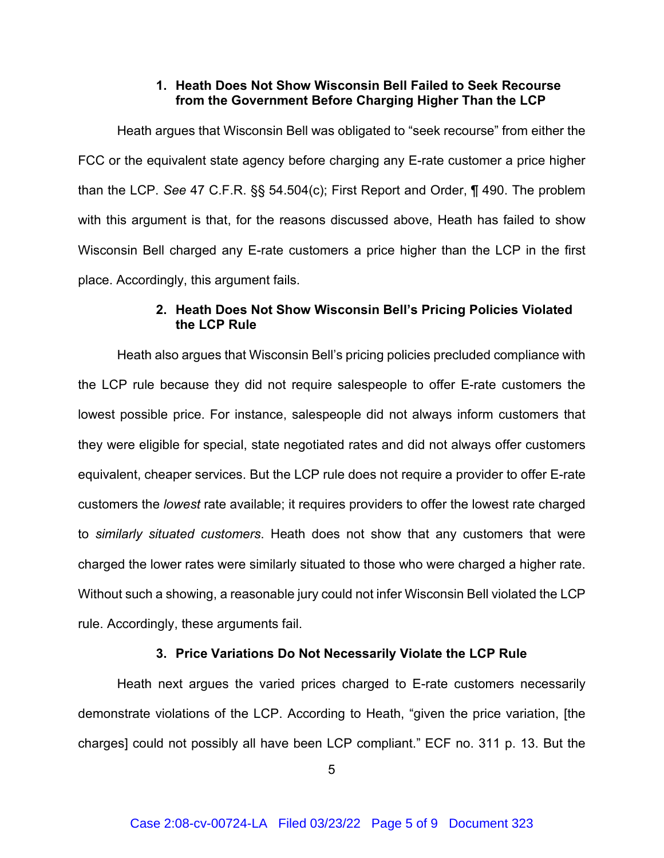### **1. Heath Does Not Show Wisconsin Bell Failed to Seek Recourse from the Government Before Charging Higher Than the LCP**

Heath argues that Wisconsin Bell was obligated to "seek recourse" from either the FCC or the equivalent state agency before charging any E-rate customer a price higher than the LCP. *See* 47 C.F.R. §§ 54.504(c); First Report and Order, ¶ 490. The problem with this argument is that, for the reasons discussed above, Heath has failed to show Wisconsin Bell charged any E-rate customers a price higher than the LCP in the first place. Accordingly, this argument fails.

### **2. Heath Does Not Show Wisconsin Bell's Pricing Policies Violated the LCP Rule**

Heath also argues that Wisconsin Bell's pricing policies precluded compliance with the LCP rule because they did not require salespeople to offer E-rate customers the lowest possible price. For instance, salespeople did not always inform customers that they were eligible for special, state negotiated rates and did not always offer customers equivalent, cheaper services. But the LCP rule does not require a provider to offer E-rate customers the *lowest* rate available; it requires providers to offer the lowest rate charged to *similarly situated customers*. Heath does not show that any customers that were charged the lower rates were similarly situated to those who were charged a higher rate. Without such a showing, a reasonable jury could not infer Wisconsin Bell violated the LCP rule. Accordingly, these arguments fail.

### **3. Price Variations Do Not Necessarily Violate the LCP Rule**

Heath next argues the varied prices charged to E-rate customers necessarily demonstrate violations of the LCP. According to Heath, "given the price variation, [the charges] could not possibly all have been LCP compliant." ECF no. 311 p. 13. But the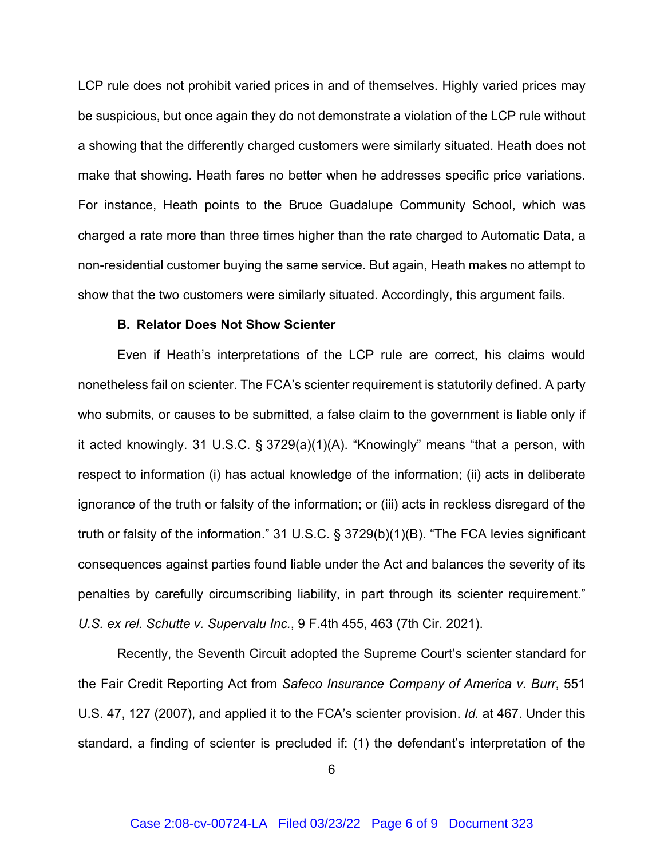LCP rule does not prohibit varied prices in and of themselves. Highly varied prices may be suspicious, but once again they do not demonstrate a violation of the LCP rule without a showing that the differently charged customers were similarly situated. Heath does not make that showing. Heath fares no better when he addresses specific price variations. For instance, Heath points to the Bruce Guadalupe Community School, which was charged a rate more than three times higher than the rate charged to Automatic Data, a non-residential customer buying the same service. But again, Heath makes no attempt to show that the two customers were similarly situated. Accordingly, this argument fails.

### **B. Relator Does Not Show Scienter**

Even if Heath's interpretations of the LCP rule are correct, his claims would nonetheless fail on scienter. The FCA's scienter requirement is statutorily defined. A party who submits, or causes to be submitted, a false claim to the government is liable only if it acted knowingly. 31 U.S.C. § 3729(a)(1)(A). "Knowingly" means "that a person, with respect to information (i) has actual knowledge of the information; (ii) acts in deliberate ignorance of the truth or falsity of the information; or (iii) acts in reckless disregard of the truth or falsity of the information." 31 U.S.C. § 3729(b)(1)(B). "The FCA levies significant consequences against parties found liable under the Act and balances the severity of its penalties by carefully circumscribing liability, in part through its scienter requirement." *U.S. ex rel. Schutte v. Supervalu Inc.*, 9 F.4th 455, 463 (7th Cir. 2021).

Recently, the Seventh Circuit adopted the Supreme Court's scienter standard for the Fair Credit Reporting Act from *Safeco Insurance Company of America v. Burr*, 551 U.S. 47, 127 (2007), and applied it to the FCA's scienter provision. *Id.* at 467. Under this standard, a finding of scienter is precluded if: (1) the defendant's interpretation of the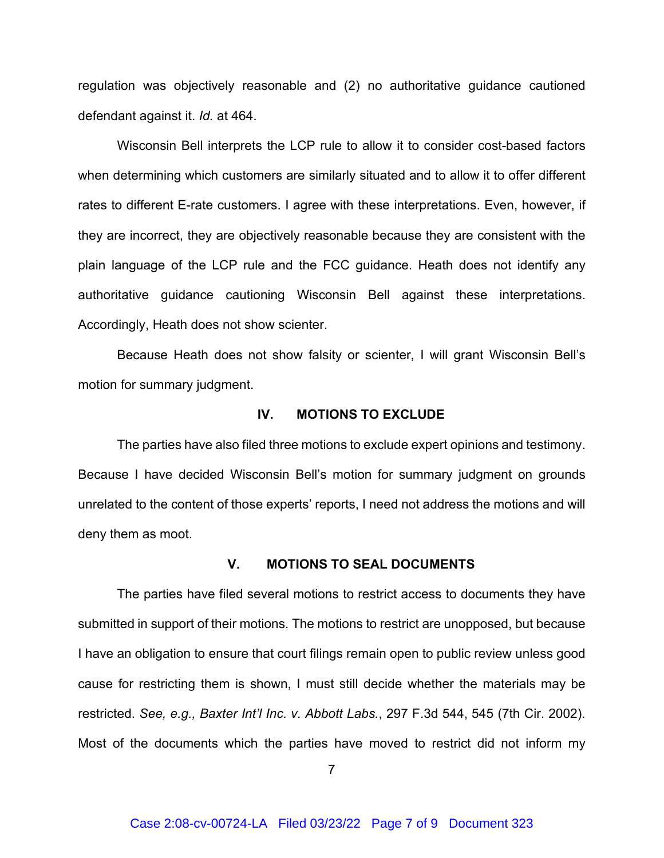regulation was objectively reasonable and (2) no authoritative guidance cautioned defendant against it. *Id.* at 464.

Wisconsin Bell interprets the LCP rule to allow it to consider cost-based factors when determining which customers are similarly situated and to allow it to offer different rates to different E-rate customers. I agree with these interpretations. Even, however, if they are incorrect, they are objectively reasonable because they are consistent with the plain language of the LCP rule and the FCC guidance. Heath does not identify any authoritative guidance cautioning Wisconsin Bell against these interpretations. Accordingly, Heath does not show scienter.

Because Heath does not show falsity or scienter, I will grant Wisconsin Bell's motion for summary judgment.

#### **IV. MOTIONS TO EXCLUDE**

The parties have also filed three motions to exclude expert opinions and testimony. Because I have decided Wisconsin Bell's motion for summary judgment on grounds unrelated to the content of those experts' reports, I need not address the motions and will deny them as moot.

#### **V. MOTIONS TO SEAL DOCUMENTS**

The parties have filed several motions to restrict access to documents they have submitted in support of their motions. The motions to restrict are unopposed, but because I have an obligation to ensure that court filings remain open to public review unless good cause for restricting them is shown, I must still decide whether the materials may be restricted. *See, e.g., Baxter Int'l Inc. v. Abbott Labs.*, 297 F.3d 544, 545 (7th Cir. 2002). Most of the documents which the parties have moved to restrict did not inform my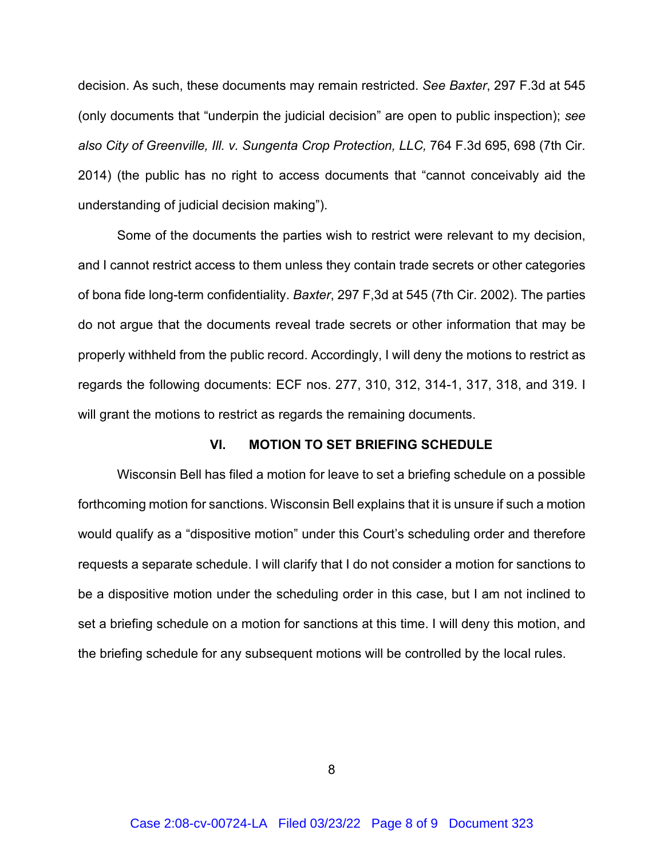decision. As such, these documents may remain restricted. *See Baxter*, 297 F.3d at 545 (only documents that "underpin the judicial decision" are open to public inspection); *see also City of Greenville, Ill. v. Sungenta Crop Protection, LLC,* 764 F.3d 695, 698 (7th Cir. 2014) (the public has no right to access documents that "cannot conceivably aid the understanding of judicial decision making").

Some of the documents the parties wish to restrict were relevant to my decision, and I cannot restrict access to them unless they contain trade secrets or other categories of bona fide long-term confidentiality. *Baxter*, 297 F,3d at 545 (7th Cir. 2002). The parties do not argue that the documents reveal trade secrets or other information that may be properly withheld from the public record. Accordingly, I will deny the motions to restrict as regards the following documents: ECF nos. 277, 310, 312, 314-1, 317, 318, and 319. I will grant the motions to restrict as regards the remaining documents.

### **VI. MOTION TO SET BRIEFING SCHEDULE**

Wisconsin Bell has filed a motion for leave to set a briefing schedule on a possible forthcoming motion for sanctions. Wisconsin Bell explains that it is unsure if such a motion would qualify as a "dispositive motion" under this Court's scheduling order and therefore requests a separate schedule. I will clarify that I do not consider a motion for sanctions to be a dispositive motion under the scheduling order in this case, but I am not inclined to set a briefing schedule on a motion for sanctions at this time. I will deny this motion, and the briefing schedule for any subsequent motions will be controlled by the local rules.